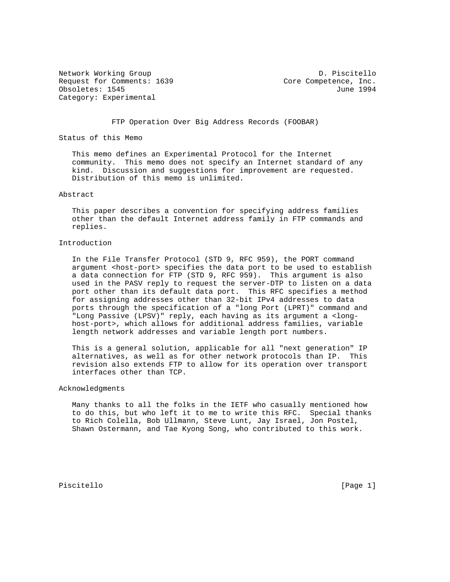Network Working Group and Communications of the D. Piscitello Request for Comments: 1639 Core Competence, Inc. Obsoletes: 1545 June 1994 Category: Experimental

FTP Operation Over Big Address Records (FOOBAR)

Status of this Memo

 This memo defines an Experimental Protocol for the Internet community. This memo does not specify an Internet standard of any kind. Discussion and suggestions for improvement are requested. Distribution of this memo is unlimited.

#### Abstract

 This paper describes a convention for specifying address families other than the default Internet address family in FTP commands and replies.

## Introduction

 In the File Transfer Protocol (STD 9, RFC 959), the PORT command argument <host-port> specifies the data port to be used to establish a data connection for FTP (STD 9, RFC 959). This argument is also used in the PASV reply to request the server-DTP to listen on a data port other than its default data port. This RFC specifies a method for assigning addresses other than 32-bit IPv4 addresses to data ports through the specification of a "long Port (LPRT)" command and "Long Passive (LPSV)" reply, each having as its argument a <long host-port>, which allows for additional address families, variable length network addresses and variable length port numbers.

 This is a general solution, applicable for all "next generation" IP alternatives, as well as for other network protocols than IP. This revision also extends FTP to allow for its operation over transport interfaces other than TCP.

## Acknowledgments

 Many thanks to all the folks in the IETF who casually mentioned how to do this, but who left it to me to write this RFC. Special thanks to Rich Colella, Bob Ullmann, Steve Lunt, Jay Israel, Jon Postel, Shawn Ostermann, and Tae Kyong Song, who contributed to this work.

Piscitello [Page 1]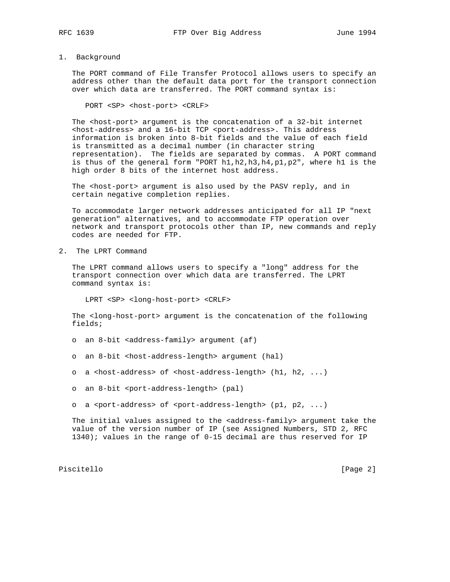# 1. Background

 The PORT command of File Transfer Protocol allows users to specify an address other than the default data port for the transport connection over which data are transferred. The PORT command syntax is:

PORT <SP> <host-port> <CRLF>

 The <host-port> argument is the concatenation of a 32-bit internet <host-address> and a 16-bit TCP <port-address>. This address information is broken into 8-bit fields and the value of each field is transmitted as a decimal number (in character string representation). The fields are separated by commas. A PORT command is thus of the general form "PORT h1,h2,h3,h4,p1,p2", where h1 is the high order 8 bits of the internet host address.

The <host-port> argument is also used by the PASV reply, and in certain negative completion replies.

 To accommodate larger network addresses anticipated for all IP "next generation" alternatives, and to accommodate FTP operation over network and transport protocols other than IP, new commands and reply codes are needed for FTP.

2. The LPRT Command

 The LPRT command allows users to specify a "long" address for the transport connection over which data are transferred. The LPRT command syntax is:

LPRT <SP> <long-host-port> <CRLF>

 The <long-host-port> argument is the concatenation of the following fields;

- o an 8-bit <address-family> argument (af)
- o an 8-bit <host-address-length> argument (hal)
- o a <host-address> of <host-address-length> (h1, h2, ...)
- o an 8-bit <port-address-length> (pal)
- o a <port-address> of <port-address-length>  $(p1, p2, \ldots)$

The initial values assigned to the <address-family> argument take the value of the version number of IP (see Assigned Numbers, STD 2, RFC 1340); values in the range of 0-15 decimal are thus reserved for IP

Piscitello [Page 2]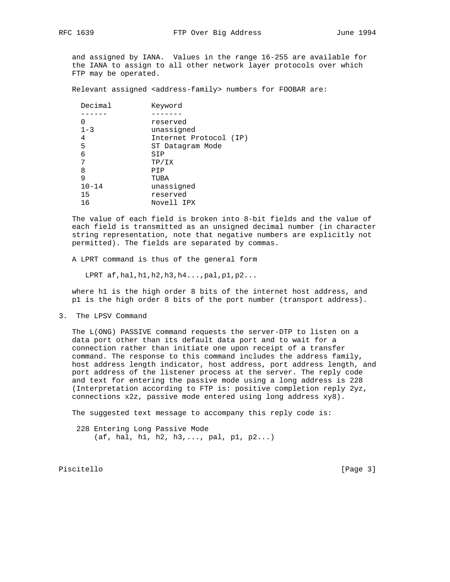and assigned by IANA. Values in the range 16-255 are available for the IANA to assign to all other network layer protocols over which FTP may be operated.

Relevant assigned <address-family> numbers for FOOBAR are:

| reserved                    |  |
|-----------------------------|--|
| $1 - 3$<br>unassigned       |  |
| Internet Protocol (IP)<br>4 |  |
| 5<br>ST Datagram Mode       |  |
| 6<br>SIP                    |  |
| 7<br>TP/IX                  |  |
| 8<br>PIP                    |  |
| 9<br>TUBA                   |  |
| unassigned<br>$10 - 14$     |  |
| 15<br>reserved              |  |
| 16<br>Novell IPX            |  |

 The value of each field is broken into 8-bit fields and the value of each field is transmitted as an unsigned decimal number (in character string representation, note that negative numbers are explicitly not permitted). The fields are separated by commas.

A LPRT command is thus of the general form

LPRT af,hal,h1,h2,h3,h4...,pal,p1,p2...

 where h1 is the high order 8 bits of the internet host address, and p1 is the high order 8 bits of the port number (transport address).

3. The LPSV Command

 The L(ONG) PASSIVE command requests the server-DTP to listen on a data port other than its default data port and to wait for a connection rather than initiate one upon receipt of a transfer command. The response to this command includes the address family, host address length indicator, host address, port address length, and port address of the listener process at the server. The reply code and text for entering the passive mode using a long address is 228 (Interpretation according to FTP is: positive completion reply 2yz, connections x2z, passive mode entered using long address xy8).

The suggested text message to accompany this reply code is:

 228 Entering Long Passive Mode  $(af, hal, hl, h2, h3,..., pal, pl, p2...)$ 

Piscitello [Page 3]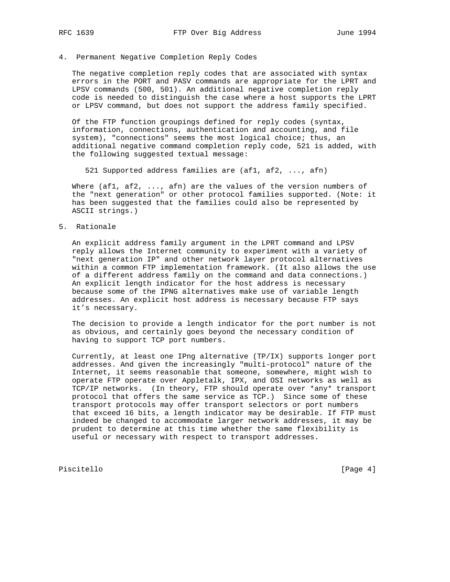# 4. Permanent Negative Completion Reply Codes

 The negative completion reply codes that are associated with syntax errors in the PORT and PASV commands are appropriate for the LPRT and LPSV commands (500, 501). An additional negative completion reply code is needed to distinguish the case where a host supports the LPRT or LPSV command, but does not support the address family specified.

 Of the FTP function groupings defined for reply codes (syntax, information, connections, authentication and accounting, and file system), "connections" seems the most logical choice; thus, an additional negative command completion reply code, 521 is added, with the following suggested textual message:

521 Supported address families are (af1, af2, ..., afn)

Where (afl, af2, ..., afn) are the values of the version numbers of the "next generation" or other protocol families supported. (Note: it has been suggested that the families could also be represented by ASCII strings.)

5. Rationale

 An explicit address family argument in the LPRT command and LPSV reply allows the Internet community to experiment with a variety of "next generation IP" and other network layer protocol alternatives within a common FTP implementation framework. (It also allows the use of a different address family on the command and data connections.) An explicit length indicator for the host address is necessary because some of the IPNG alternatives make use of variable length addresses. An explicit host address is necessary because FTP says it's necessary.

 The decision to provide a length indicator for the port number is not as obvious, and certainly goes beyond the necessary condition of having to support TCP port numbers.

 Currently, at least one IPng alternative (TP/IX) supports longer port addresses. And given the increasingly "multi-protocol" nature of the Internet, it seems reasonable that someone, somewhere, might wish to operate FTP operate over Appletalk, IPX, and OSI networks as well as TCP/IP networks. (In theory, FTP should operate over \*any\* transport protocol that offers the same service as TCP.) Since some of these transport protocols may offer transport selectors or port numbers that exceed 16 bits, a length indicator may be desirable. If FTP must indeed be changed to accommodate larger network addresses, it may be prudent to determine at this time whether the same flexibility is useful or necessary with respect to transport addresses.

Piscitello [Page 4]